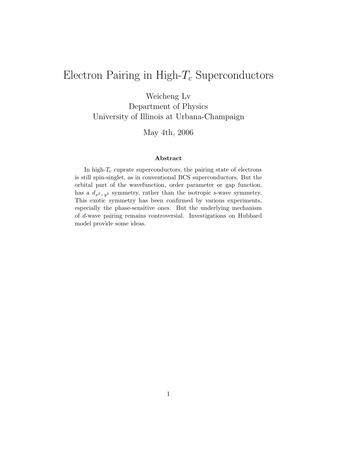# Electron Pairing in High- $T_c$  Superconductors

Weicheng Lv

Department of Physics University of Illinois at Urbana-Champaign

May 4th, 2006

#### **Abstract**

In high- $T_c$  cuprate superconductors, the pairing state of electrons is still spin-singlet, as in conventional BCS superconductors. But the orbital part of the wavefunction, order parameter or gap function, has a  $d_{x^2-y^2}$  symmetry, rather than the isotropic s-wave symmetry. This exotic symmetry has been confirmed by various experiments, especially the phase-sensitive ones. But the underlying mechanism of *d*-wave pairing remains controversial. Investigations on Hubbard model provide some ideas.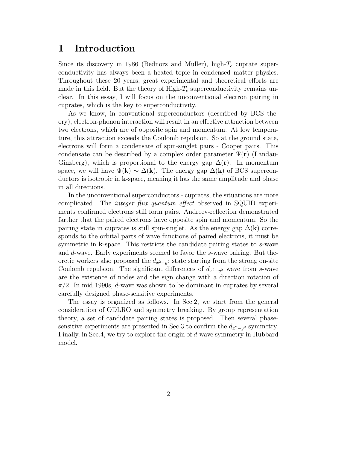### **1 Introduction**

Since its discovery in 1986 (Bednorz and Müller), high- $T_c$  cuprate superconductivity has always been a heated topic in condensed matter physics. Throughout these 20 years, great experimental and theoretical efforts are made in this field. But the theory of  $\text{High-}T_c$  superconductivity remains unclear. In this essay, I will focus on the unconventional electron pairing in cuprates, which is the key to superconductivity.

As we know, in conventional superconductors (described by BCS theory), electron-phonon interaction will result in an effective attraction between two electrons, which are of opposite spin and momentum. At low temperature, this attraction exceeds the Coulomb repulsion. So at the ground state, electrons will form a condensate of spin-singlet pairs - Cooper pairs. This condensate can be described by a complex order parameter  $\Psi(\mathbf{r})$  (Landau-Ginzberg), which is proportional to the energy gap  $\Delta(\mathbf{r})$ . In momentum space, we will have  $\Psi(\mathbf{k}) \sim \Delta(\mathbf{k})$ . The energy gap  $\Delta(\mathbf{k})$  of BCS superconductors is isotropic in **k**-space, meaning it has the same amplitude and phase in all directions.

In the unconventional superconductors - cuprates, the situations are more complicated. The integer flux quantum effect observed in SQUID experiments confirmed electrons still form pairs. Andreev-reflection demonstrated farther that the paired electrons have opposite spin and momentum. So the pairing state in cuprates is still spin-singlet. As the energy gap  $\Delta(\mathbf{k})$  corresponds to the orbital parts of wave functions of paired electrons, it must be symmetric in **k**-space. This restricts the candidate pairing states to s-wave and d-wave. Early experiments seemed to favor the s-wave pairing. But theoretic workers also proposed the  $d_{x^2-y^2}$  state starting from the strong on-site Coulomb repulsion. The significant differences of  $d_{x^2-y^2}$  wave from s-wave are the existence of nodes and the sign change with a direction rotation of  $\pi/2$ . In mid 1990s, d-wave was shown to be dominant in cuprates by several carefully designed phase-sensitive experiments.

The essay is organized as follows. In Sec.2, we start from the general consideration of ODLRO and symmetry breaking. By group representation theory, a set of candidate pairing states is proposed. Then several phasesensitive experiments are presented in Sec.3 to confirm the  $d_{x^2-y^2}$  symmetry. Finally, in Sec.4, we try to explore the origin of d-wave symmetry in Hubbard model.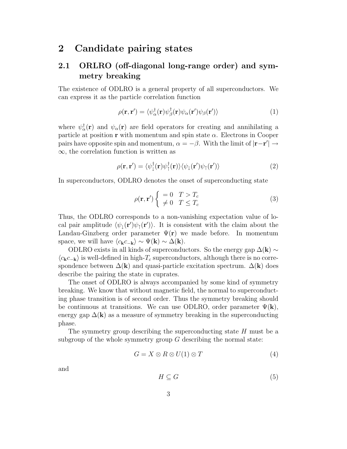### **2 Candidate pairing states**

### **2.1 ORLRO (off-diagonal long-range order) and symmetry breaking**

The existence of ODLRO is a general property of all superconductors. We can express it as the particle correlation function

$$
\rho(\mathbf{r}, \mathbf{r}') = \langle \psi_{\alpha}^{\dagger}(\mathbf{r}) \psi_{\beta}^{\dagger}(\mathbf{r}) \psi_{\alpha}(\mathbf{r}') \psi_{\beta}(\mathbf{r}') \rangle \tag{1}
$$

where  $\psi^{\dagger}_{\alpha}(\mathbf{r})$  and  $\psi_{\alpha}(\mathbf{r})$  are field operators for creating and annihilating a particle at position **r** with momentum and spin state  $\alpha$ . Electrons in Cooper pairs have opposite spin and momentum,  $\alpha = -\beta$ . With the limit of  $|\mathbf{r} - \mathbf{r}'| \rightarrow$  $\infty$ , the correlation function is written as

$$
\rho(\mathbf{r}, \mathbf{r}') = \langle \psi_{\downarrow}^{\dagger}(\mathbf{r}) \psi_{\uparrow}^{\dagger}(\mathbf{r}) \rangle \langle \psi_{\downarrow}(\mathbf{r}') \psi_{\uparrow}(\mathbf{r}') \rangle \tag{2}
$$

In superconductors, ODLRO denotes the onset of superconducting state

$$
\rho(\mathbf{r}, \mathbf{r}') \begin{cases}\n= 0 & T > T_c \\
\neq 0 & T \le T_c\n\end{cases}
$$
\n(3)

Thus, the ODLRO corresponds to a non-vanishing expectation value of local pair amplitude  $\langle \psi_{\downarrow}(\mathbf{r}') \psi_{\uparrow}(\mathbf{r}') \rangle$ . It is consistent with the claim about the Landau-Ginzberg order parameter  $\Psi(\mathbf{r})$  we made before. In momentum space, we will have  $\langle c_{\mathbf{k}}c_{-\mathbf{k}} \rangle \sim \Psi(\mathbf{k}) \sim \Delta(\mathbf{k}).$ 

ODLRO exists in all kinds of superconductors. So the energy gap  $\Delta(\mathbf{k}) \sim$  $\langle c_{\mathbf{k}}c_{-\mathbf{k}}\rangle$  is well-defined in high- $T_c$  superconductors, although there is no correspondence between  $\Delta(\mathbf{k})$  and quasi-particle excitation spectrum.  $\Delta(\mathbf{k})$  does describe the pairing the state in cuprates.

The onset of ODLRO is always accompanied by some kind of symmetry breaking. We know that without magnetic field, the normal to superconducting phase transition is of second order. Thus the symmetry breaking should be continuous at transitions. We can use ODLRO, order parameter  $\Psi(\mathbf{k})$ , energy gap  $\Delta(\mathbf{k})$  as a measure of symmetry breaking in the superconducting phase.

The symmetry group describing the superconducting state  $H$  must be a subgroup of the whole symmetry group  $G$  describing the normal state:

$$
G = X \otimes R \otimes U(1) \otimes T \tag{4}
$$

and

$$
H \subseteq G \tag{5}
$$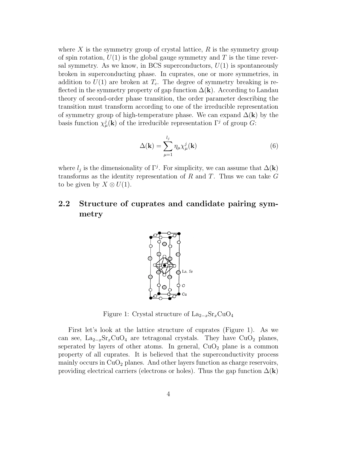where  $X$  is the symmetry group of crystal lattice,  $R$  is the symmetry group of spin rotation,  $U(1)$  is the global gauge symmetry and T is the time reversal symmetry. As we know, in BCS superconductors,  $U(1)$  is spontaneously broken in superconducting phase. In cuprates, one or more symmetries, in addition to  $U(1)$  are broken at  $T_c$ . The degree of symmetry breaking is reflected in the symmetry property of gap function  $\Delta(\mathbf{k})$ . According to Landau theory of second-order phase transition, the order parameter describing the transition must transform according to one of the irreducible representation of symmetry group of high-temperature phase. We can expand  $\Delta(\mathbf{k})$  by the basis function  $\chi^j_\mu(\mathbf{k})$  of the irreducible representation  $\Gamma^j$  of group  $\tilde{G}$ :

$$
\Delta(\mathbf{k}) = \sum_{\mu=1}^{l_j} \eta_{\mu} \chi_{\mu}^j(\mathbf{k}) \tag{6}
$$

where  $l_j$  is the dimensionality of  $\Gamma^j$ . For simplicity, we can assume that  $\Delta(\mathbf{k})$ transforms as the identity representation of R and T. Thus we can take  $G$ to be given by  $X \otimes U(1)$ .

### **2.2 Structure of cuprates and candidate pairing symmetry**



Figure 1: Crystal structure of  $\text{La}_{2-x}\text{Sr}_x\text{CuO}_4$ 

First let's look at the lattice structure of cuprates (Figure 1). As we can see,  $La_{2-x}Sr_xCuO_4$  are tetragonal crystals. They have  $CuO_2$  planes, seperated by layers of other atoms. In general,  $CuO<sub>2</sub>$  plane is a common property of all cuprates. It is believed that the superconductivity process mainly occurs in  $CuO<sub>2</sub>$  planes. And other layers function as charge reservoirs, providing electrical carriers (electrons or holes). Thus the gap function  $\Delta(\mathbf{k})$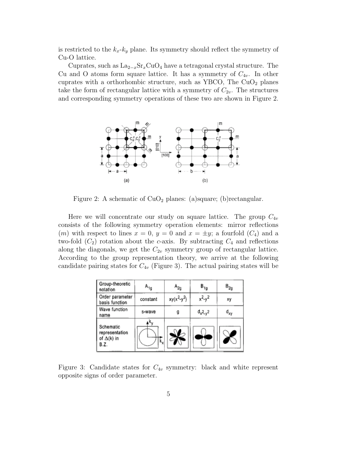is restricted to the  $k_x-k_y$  plane. Its symmetry should reflect the symmetry of Cu-O lattice.

Cuprates, such as  $\text{La}_{2-x}\text{Sr}_x\text{CuO}_4$  have a tetragonal crystal structure. The Cu and O atoms form square lattice. It has a symmetry of  $C_{4v}$ . In other cuprates with a orthorhombic structure, such as YBCO, The  $CuO<sub>2</sub>$  planes take the form of rectangular lattice with a symmetry of  $C_{2v}$ . The structures and corresponding symmetry operations of these two are shown in Figure 2.



Figure 2: A schematic of  $CuO<sub>2</sub>$  planes: (a)square; (b)rectangular.

Here we will concentrate our study on square lattice. The group  $C_{4v}$ consists of the following symmetry operation elements: mirror reflections (*m*) with respect to lines  $x = 0$ ,  $y = 0$  and  $x = \pm y$ ; a fourfold  $(C_4)$  and a two-fold  $(C_2)$  rotation about the c-axis. By subtracting  $C_4$  and reflections along the diagonals, we get the  $C_{2v}$  symmetry group of rectangular lattice. According to the group representation theory, we arrive at the following candidate pairing states for  $C_{4v}$  (Figure 3). The actual pairing states will be

| Group-theoretic<br>notation                              | $A_{1g}$ | A <sub>2g</sub> | $B_{1g}$      | $B_{2g}$        |
|----------------------------------------------------------|----------|-----------------|---------------|-----------------|
| Order parameter<br>basis function                        | constant | $xy(x^2-y^2)$   | $x^2-y^2$     | xу              |
| Wave function<br>name                                    | s-wave   |                 | $d_{x^2-y^2}$ | d <sub>xy</sub> |
| Schematic<br>representation<br>of $\Delta(k)$ in<br>B.Z. |          |                 |               |                 |

Figure 3: Candidate states for  $C_{4v}$  symmetry: black and white represent opposite signs of order parameter.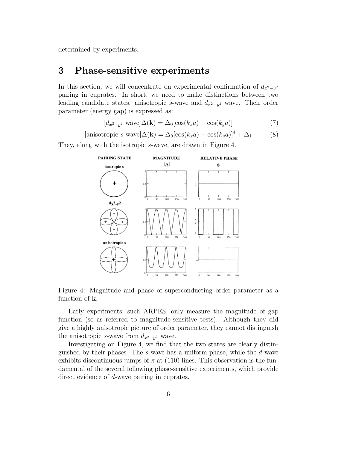determined by experiments.

## **3 Phase-sensitive experiments**

In this section, we will concentrate on experimental confirmation of  $d_{x^2-y^2}$ pairing in cuprates. In short, we need to make distinctions between two leading candidate states: anisotropic s-wave and  $d_{x^2-y^2}$  wave. Their order parameter (energy gap) is expressed as:

$$
[d_{x^2-y^2} \text{ wave}] \Delta(\mathbf{k}) = \Delta_0 [\cos(k_x a) - \cos(k_y a)] \tag{7}
$$

$$
[\text{anisotropic } s\text{-wave}]\Delta(\mathbf{k}) = \Delta_0[\cos(k_x a) - \cos(k_y a)]^4 + \Delta_1 \tag{8}
$$

They, along with the isotropic s-wave, are drawn in Figure 4.



Figure 4: Magnitude and phase of superconducting order parameter as a function of **k**.

Early experiments, such ARPES, only measure the magnitude of gap function (so as referred to magnitude-sensitive tests). Although they did give a highly anisotropic picture of order parameter, they cannot distinguish the anisotropic s-wave from  $d_{x^2-y^2}$  wave.

Investigating on Figure 4, we find that the two states are clearly distinguished by their phases. The s-wave has a uniform phase, while the d-wave exhibits discontinuous jumps of  $\pi$  at (110) lines. This observation is the fundamental of the several following phase-sensitive experiments, which provide direct evidence of d-wave pairing in cuprates.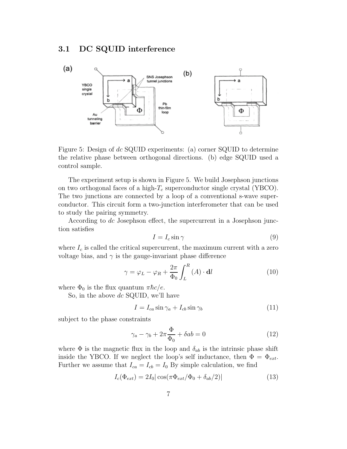#### **3.1 DC SQUID interference**



Figure 5: Design of dc SQUID experiments: (a) corner SQUID to determine the relative phase between orthogonal directions. (b) edge SQUID used a control sample.

The experiment setup is shown in Figure 5. We build Josephson junctions on two orthogonal faces of a high- $T_c$  superconductor single crystal (YBCO). The two junctions are connected by a loop of a conventional s-wave superconductor. This circuit form a two-junction interferometer that can be used to study the pairing symmetry.

According to dc Josephson effect, the supercurrent in a Josephson junction satisfies

$$
I = I_c \sin \gamma \tag{9}
$$

where  $I_c$  is called the critical supercurrent, the maximum current with a zero voltage bias, and  $\gamma$  is the gauge-invariant phase difference

$$
\gamma = \varphi_L - \varphi_R + \frac{2\pi}{\Phi_0} \int_L^R (A) \cdot \mathbf{d}l \tag{10}
$$

where  $\Phi_0$  is the flux quantum  $\pi \hbar c/e$ .

So, in the above  $dc$  SQUID, we'll have

$$
I = I_{ca} \sin \gamma_a + I_{cb} \sin \gamma_b \tag{11}
$$

subject to the phase constraints

$$
\gamma_a - \gamma_b + 2\pi \frac{\Phi}{\Phi_0} + \delta ab = 0 \tag{12}
$$

where  $\Phi$  is the magnetic flux in the loop and  $\delta_{ab}$  is the intrinsic phase shift inside the YBCO. If we neglect the loop's self inductance, then  $\Phi = \Phi_{ext}$ . Further we assume that  $I_{ca} = I_{cb} = I_0$  By simple calculation, we find

$$
I_c(\Phi_{ext}) = 2I_0 |\cos(\pi \Phi_{ext}/\Phi_0 + \delta_{ab}/2)| \tag{13}
$$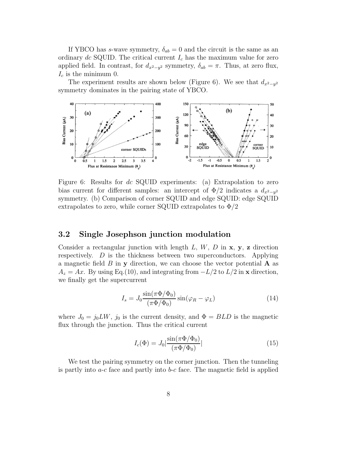If YBCO has s-wave symmetry,  $\delta_{ab} = 0$  and the circuit is the same as an ordinary dc SQUID. The critical current  $I_c$  has the maximum value for zero applied field. In contrast, for  $d_{x^2-y^2}$  symmetry,  $\delta_{ab} = \pi$ . Thus, at zero flux,  $I_c$  is the minimum 0.

The experiment results are shown below (Figure 6). We see that  $d_{x^2-y^2}$ symmetry dominates in the pairing state of YBCO.



Figure 6: Results for dc SQUID experiments: (a) Extrapolation to zero bias current for different samples: an intercept of  $\Phi/2$  indicates a  $d_{x^2-y^2}$ symmetry. (b) Comparison of corner SQUID and edge SQUID: edge SQUID extrapolates to zero, while corner SQUID extrapolates to  $\Phi/2$ 

#### **3.2 Single Josephson junction modulation**

Consider a rectangular junction with length L, W, D in **x**, **y**, **z** direction respectively. D is the thickness between two superconductors. Applying a magnetic field B in **y** direction, we can choose the vector potential **A** as  $A_z = Ax$ . By using Eq.(10), and integrating from  $-L/2$  to  $L/2$  in **x** direction, we finally get the supercurrent

$$
I_s = J_0 \frac{\sin(\pi \Phi/\Phi_0)}{(\pi \Phi/\Phi_0)} \sin(\varphi_R - \varphi_L)
$$
 (14)

where  $J_0 = j_0 L W$ ,  $j_0$  is the current density, and  $\Phi = B L D$  is the magnetic flux through the junction. Thus the critical current

$$
I_c(\Phi) = J_0 \left| \frac{\sin(\pi \Phi / \Phi_0)}{(\pi \Phi / \Phi_0)} \right| \tag{15}
$$

We test the pairing symmetry on the corner junction. Then the tunneling is partly into  $a-c$  face and partly into  $b-c$  face. The magnetic field is applied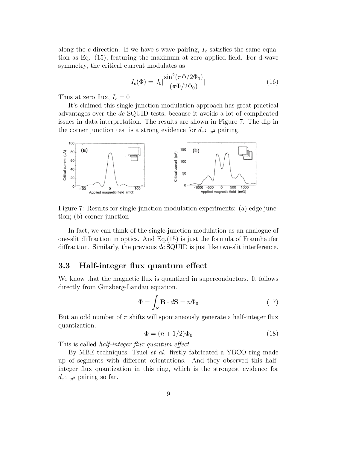along the c-direction. If we have s-wave pairing,  $I_c$  satisfies the same equation as Eq. (15), featuring the maximum at zero applied field. For d-wave symmetry, the critical current modulates as

$$
I_c(\Phi) = J_0 \left| \frac{\sin^2(\pi \Phi / 2\Phi_0)}{(\pi \Phi / 2\Phi_0)} \right|
$$
\n(16)

Thus at zero flux,  $I_c = 0$ 

It's claimed this single-junction modulation approach has great practical advantages over the dc SQUID tests, because it avoids a lot of complicated issues in data interpretation. The results are shown in Figure 7. The dip in the corner junction test is a strong evidence for  $d_{x^2-y^2}$  pairing.



Figure 7: Results for single-junction modulation experiments: (a) edge junction; (b) corner junction

In fact, we can think of the single-junction modulation as an analogue of one-slit diffraction in optics. And Eq.(15) is just the formula of Fraunhaufer diffraction. Similarly, the previous dc SQUID is just like two-slit interference.

#### **3.3 Half-integer flux quantum effect**

We know that the magnetic flux is quantized in superconductors. It follows directly from Ginzberg-Landau equation.

$$
\Phi = \int_{S} \mathbf{B} \cdot d\mathbf{S} = n\Phi_0 \tag{17}
$$

But an odd number of  $\pi$  shifts will spontaneously generate a half-integer flux quantization.

$$
\Phi = (n+1/2)\Phi_0 \tag{18}
$$

This is called *half-integer flux quantum effect*.

By MBE techniques, Tsuei et al. firstly fabricated a YBCO ring made up of segments with different orientations. And they observed this halfinteger flux quantization in this ring, which is the strongest evidence for  $d_{x^2-y^2}$  pairing so far.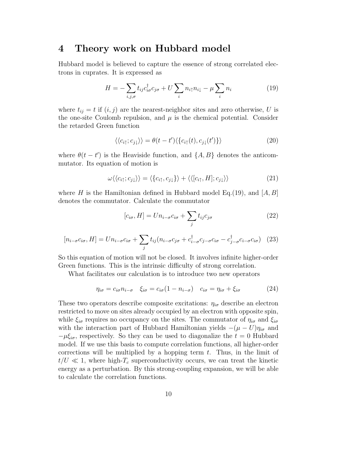#### **4 Theory work on Hubbard model**

Hubbard model is believed to capture the essence of strong correlated electrons in cuprates. It is expressed as

$$
H = -\sum_{i,j,\sigma} t_{ij} c_{i\sigma}^{\dagger} c_{j\sigma} + U \sum_{i} n_{i\uparrow} n_{i\downarrow} - \mu \sum_{i} n_{i}
$$
 (19)

where  $t_{ij} = t$  if  $(i, j)$  are the nearest-neighbor sites and zero otherwise, U is the one-site Coulomb repulsion, and  $\mu$  is the chemical potential. Consider the retarded Green function

$$
\langle\langle c_{i\uparrow};c_{j\downarrow}\rangle\rangle = \theta(t-t')\langle\{c_{i\uparrow}(t),c_{j\downarrow}(t')\}\rangle
$$
\n(20)

where  $\theta(t-t')$  is the Heaviside function, and  $\{A, B\}$  denotes the anticommutator. Its equation of motion is

$$
\omega \langle \langle c_{i\uparrow}; c_{j\downarrow} \rangle \rangle = \langle \{c_{i\uparrow}, c_{j\downarrow} \} \rangle + \langle \langle [c_{i\uparrow}, H]; c_{j\downarrow} \rangle \rangle \tag{21}
$$

where H is the Hamiltonian defined in Hubbard model Eq.(19), and  $[A, B]$ denotes the commutator. Calculate the commutator

$$
[c_{i\sigma}, H] = U n_{i-\sigma} c_{i\sigma} + \sum_j t_{ij} c_{j\sigma}
$$
 (22)

$$
[n_{i-\sigma}c_{i\sigma}, H] = U n_{i-\sigma}c_{i\sigma} + \sum_j t_{ij}(n_{i-\sigma}c_{j\sigma} + c_{i-\sigma}^{\dagger}c_{j-\sigma}c_{i\sigma} - c_{j-\sigma}^{\dagger}c_{i-\sigma}c_{i\sigma}) \quad (23)
$$

So this equation of motion will not be closed. It involves infinite higher-order Green functions. This is the intrinsic difficulty of strong correlation.

What facilitates our calculation is to introduce two new operators

$$
\eta_{i\sigma} = c_{i\sigma} n_{i-\sigma} \quad \xi_{i\sigma} = c_{i\sigma} (1 - n_{i-\sigma}) \quad c_{i\sigma} = \eta_{i\sigma} + \xi_{i\sigma} \tag{24}
$$

These two operators describe composite excitations:  $\eta_{i\sigma}$  describe an electron restricted to move on sites already occupied by an electron with opposite spin, while  $\xi_{i\sigma}$  requires no occupancy on the sites. The commutator of  $\eta_{i\sigma}$  and  $\xi_{i\sigma}$ with the interaction part of Hubbard Hamiltonian yields  $-(\mu - U)\eta_{i\sigma}$  and  $-\mu \xi_{i\sigma}$ , respectively. So they can be used to diagonalize the  $t = 0$  Hubbard model. If we use this basis to compute correlation functions, all higher-order corrections will be multiplied by a hopping term  $t$ . Thus, in the limit of  $t/U \ll 1$ , where high- $T_c$  superconductivity occurs, we can treat the kinetic energy as a perturbation. By this strong-coupling expansion, we will be able to calculate the correlation functions.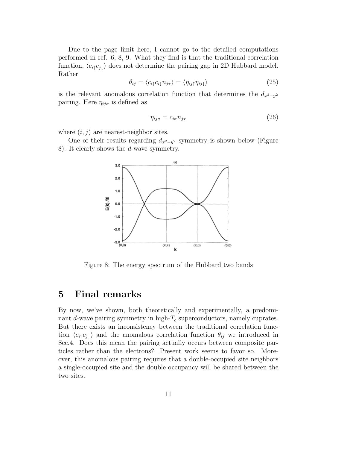Due to the page limit here, I cannot go to the detailed computations performed in ref. 6, 8, 9. What they find is that the traditional correlation function,  $\langle c_i \rangle c_j \rangle$  does not determine the pairing gap in 2D Hubbard model. Rather

$$
\theta_{ij} = \langle c_{i\uparrow} c_{i\downarrow} n_{j\tau} \rangle = \langle \eta_{ij\uparrow} \eta_{ij\downarrow} \rangle \tag{25}
$$

is the relevant anomalous correlation function that determines the  $d_{x^2-y^2}$ pairing. Here  $\eta_{ij\sigma}$  is defined as

$$
\eta_{ij\sigma} = c_{i\sigma} n_{j\tau} \tag{26}
$$

where  $(i, j)$  are nearest-neighbor sites.

One of their results regarding  $d_{x^2-y^2}$  symmetry is shown below (Figure 8). It clearly shows the d-wave symmetry.



Figure 8: The energy spectrum of the Hubbard two bands

## **5 Final remarks**

By now, we've shown, both theoretically and experimentally, a predominant  $d$ -wave pairing symmetry in high- $T_c$  superconductors, namely cuprates. But there exists an inconsistency between the traditional correlation function  $\langle c_i \rangle c_j \rangle$  and the anomalous correlation function  $\theta_{ij}$  we introduced in Sec.4. Does this mean the pairing actually occurs between composite particles rather than the electrons? Present work seems to favor so. Moreover, this anomalous pairing requires that a double-occupied site neighbors a single-occupied site and the double occupancy will be shared between the two sites.